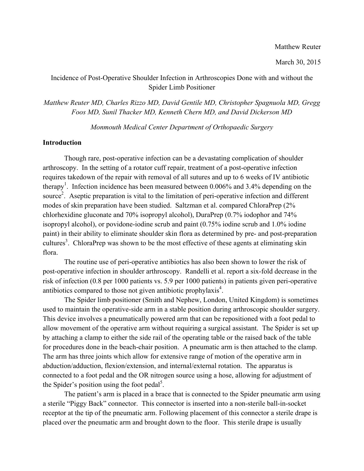# Incidence of Post-Operative Shoulder Infection in Arthroscopies Done with and without the Spider Limb Positioner

*Matthew Reuter MD, Charles Rizzo MD, David Gentile MD, Christopher Spagnuola MD, Gregg Foos MD, Sunil Thacker MD, Kenneth Chern MD, and David Dickerson MD*

*Monmouth Medical Center Department of Orthopaedic Surgery*

## **Introduction**

Though rare, post-operative infection can be a devastating complication of shoulder arthroscopy. In the setting of a rotator cuff repair, treatment of a post-operative infection requires takedown of the repair with removal of all sutures and up to 6 weeks of IV antibiotic therapy<sup>1</sup>. Infection incidence has been measured between 0.006% and 3.4% depending on the source<sup>2</sup>. Aseptic preparation is vital to the limitation of peri-operative infection and different modes of skin preparation have been studied. Saltzman et al. compared ChloraPrep (2% chlorhexidine gluconate and 70% isopropyl alcohol), DuraPrep (0.7% iodophor and 74% isopropyl alcohol), or povidone-iodine scrub and paint (0.75% iodine scrub and 1.0% iodine paint) in their ability to eliminate shoulder skin flora as determined by pre- and post-preparation cultures<sup>3</sup>. ChloraPrep was shown to be the most effective of these agents at eliminating skin flora.

The routine use of peri-operative antibiotics has also been shown to lower the risk of post-operative infection in shoulder arthroscopy. Randelli et al. report a six-fold decrease in the risk of infection (0.8 per 1000 patients vs. 5.9 per 1000 patients) in patients given peri-operative antibiotics compared to those not given antibiotic prophylaxis<sup>4</sup>.

The Spider limb positioner (Smith and Nephew, London, United Kingdom) is sometimes used to maintain the operative-side arm in a stable position during arthroscopic shoulder surgery. This device involves a pneumatically powered arm that can be repositioned with a foot pedal to allow movement of the operative arm without requiring a surgical assistant. The Spider is set up by attaching a clamp to either the side rail of the operating table or the raised back of the table for procedures done in the beach-chair position. A pneumatic arm is then attached to the clamp. The arm has three joints which allow for extensive range of motion of the operative arm in abduction/adduction, flexion/extension, and internal/external rotation. The apparatus is connected to a foot pedal and the OR nitrogen source using a hose, allowing for adjustment of the Spider's position using the foot pedal<sup>5</sup>.

The patient's arm is placed in a brace that is connected to the Spider pneumatic arm using a sterile "Piggy Back" connector. This connector is inserted into a non-sterile ball-in-socket receptor at the tip of the pneumatic arm. Following placement of this connector a sterile drape is placed over the pneumatic arm and brought down to the floor. This sterile drape is usually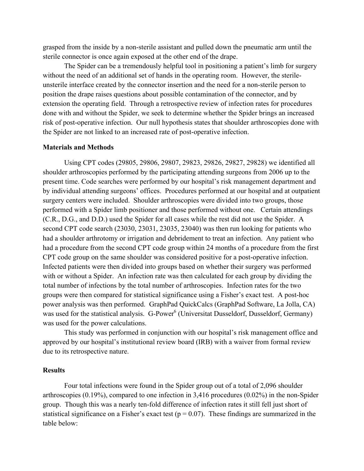grasped from the inside by a non-sterile assistant and pulled down the pneumatic arm until the sterile connector is once again exposed at the other end of the drape.

The Spider can be a tremendously helpful tool in positioning a patient's limb for surgery without the need of an additional set of hands in the operating room. However, the sterileunsterile interface created by the connector insertion and the need for a non-sterile person to position the drape raises questions about possible contamination of the connector, and by extension the operating field. Through a retrospective review of infection rates for procedures done with and without the Spider, we seek to determine whether the Spider brings an increased risk of post-operative infection. Our null hypothesis states that shoulder arthroscopies done with the Spider are not linked to an increased rate of post-operative infection.

## **Materials and Methods**

Using CPT codes (29805, 29806, 29807, 29823, 29826, 29827, 29828) we identified all shoulder arthroscopies performed by the participating attending surgeons from 2006 up to the present time. Code searches were performed by our hospital's risk management department and by individual attending surgeons' offices. Procedures performed at our hospital and at outpatient surgery centers were included. Shoulder arthroscopies were divided into two groups, those performed with a Spider limb positioner and those performed without one. Certain attendings (C.R., D.G., and D.D.) used the Spider for all cases while the rest did not use the Spider. A second CPT code search (23030, 23031, 23035, 23040) was then run looking for patients who had a shoulder arthrotomy or irrigation and debridement to treat an infection. Any patient who had a procedure from the second CPT code group within 24 months of a procedure from the first CPT code group on the same shoulder was considered positive for a post-operative infection. Infected patients were then divided into groups based on whether their surgery was performed with or without a Spider. An infection rate was then calculated for each group by dividing the total number of infections by the total number of arthroscopies. Infection rates for the two groups were then compared for statistical significance using a Fisher's exact test. A post-hoc power analysis was then performed. GraphPad QuickCalcs (GraphPad Software, La Jolla, CA) was used for the statistical analysis. G-Power<sup>6</sup> (Universitat Dusseldorf, Dusseldorf, Germany) was used for the power calculations.

This study was performed in conjunction with our hospital's risk management office and approved by our hospital's institutional review board (IRB) with a waiver from formal review due to its retrospective nature.

#### **Results**

Four total infections were found in the Spider group out of a total of 2,096 shoulder arthroscopies (0.19%), compared to one infection in 3,416 procedures (0.02%) in the non-Spider group. Though this was a nearly ten-fold difference of infection rates it still fell just short of statistical significance on a Fisher's exact test ( $p = 0.07$ ). These findings are summarized in the table below: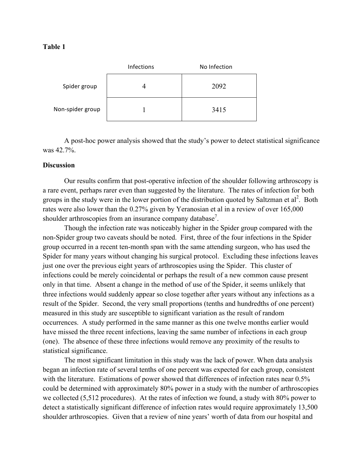## **Table 1**

|                  | Infections | No Infection |
|------------------|------------|--------------|
| Spider group     |            | 2092         |
| Non-spider group |            | 3415         |

A post-hoc power analysis showed that the study's power to detect statistical significance was 42.7%.

## **Discussion**

Our results confirm that post-operative infection of the shoulder following arthroscopy is a rare event, perhaps rarer even than suggested by the literature. The rates of infection for both groups in the study were in the lower portion of the distribution quoted by Saltzman et  $al^2$ . Both rates were also lower than the 0.27% given by Yeranosian et al in a review of over 165,000 shoulder arthroscopies from an insurance company database<sup>7</sup>.

Though the infection rate was noticeably higher in the Spider group compared with the non-Spider group two caveats should be noted. First, three of the four infections in the Spider group occurred in a recent ten-month span with the same attending surgeon, who has used the Spider for many years without changing his surgical protocol. Excluding these infections leaves just one over the previous eight years of arthroscopies using the Spider. This cluster of infections could be merely coincidental or perhaps the result of a new common cause present only in that time. Absent a change in the method of use of the Spider, it seems unlikely that three infections would suddenly appear so close together after years without any infections as a result of the Spider. Second, the very small proportions (tenths and hundredths of one percent) measured in this study are susceptible to significant variation as the result of random occurrences. A study performed in the same manner as this one twelve months earlier would have missed the three recent infections, leaving the same number of infections in each group (one). The absence of these three infections would remove any proximity of the results to statistical significance.

The most significant limitation in this study was the lack of power. When data analysis began an infection rate of several tenths of one percent was expected for each group, consistent with the literature. Estimations of power showed that differences of infection rates near 0.5% could be determined with approximately 80% power in a study with the number of arthroscopies we collected (5,512 procedures). At the rates of infection we found, a study with 80% power to detect a statistically significant difference of infection rates would require approximately 13,500 shoulder arthroscopies. Given that a review of nine years' worth of data from our hospital and